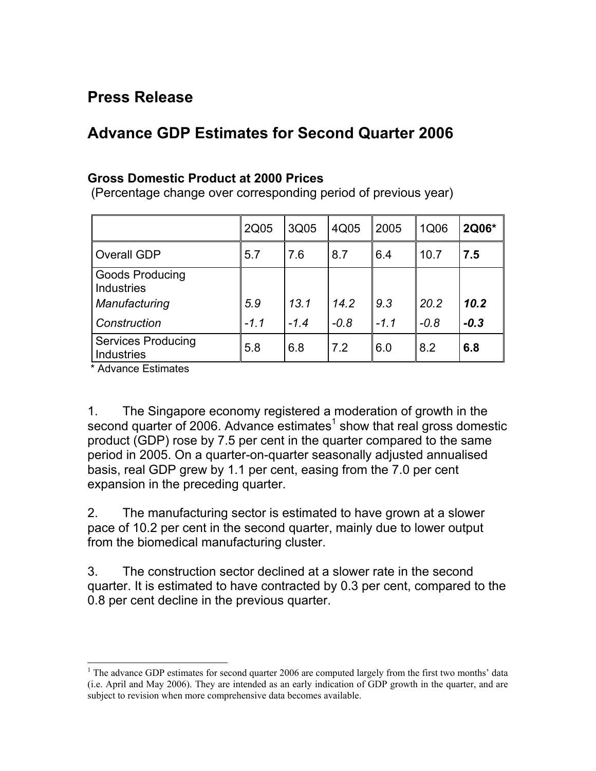## **Press Release**

## **Advance GDP Estimates for Second Quarter 2006**

## **Gross Domestic Product at 2000 Prices**

(Percentage change over corresponding period of previous year)

|                                                                              | 2Q05          | 3Q05           | 4Q05           | 2005          | 1Q06           | 2Q06*          |
|------------------------------------------------------------------------------|---------------|----------------|----------------|---------------|----------------|----------------|
| Overall GDP                                                                  | 5.7           | 7.6            | 8.7            | 6.4           | 10.7           | 7.5            |
| <b>Goods Producing</b><br><b>Industries</b><br>Manufacturing<br>Construction | 5.9<br>$-1.1$ | 13.1<br>$-1.4$ | 14.2<br>$-0.8$ | 9.3<br>$-1.1$ | 20.2<br>$-0.8$ | 10.2<br>$-0.3$ |
| <b>Services Producing</b><br>Industries                                      | 5.8           | 6.8            | 7.2            | 6.0           | 8.2            | 6.8            |

\* Advance Estimates

l

1. The Singapore economy registered a moderation of growth in the second quarter of 2006. Advance estimates $1$  show that real gross domestic product (GDP) rose by 7.5 per cent in the quarter compared to the same period in 2005. On a quarter-on-quarter seasonally adjusted annualised basis, real GDP grew by 1.1 per cent, easing from the 7.0 per cent expansion in the preceding quarter.

2. The manufacturing sector is estimated to have grown at a slower pace of 10.2 per cent in the second quarter, mainly due to lower output from the biomedical manufacturing cluster.

3. The construction sector declined at a slower rate in the second quarter. It is estimated to have contracted by 0.3 per cent, compared to the 0.8 per cent decline in the previous quarter.

<span id="page-0-0"></span><sup>&</sup>lt;sup>1</sup> The advance GDP estimates for second quarter 2006 are computed largely from the first two months' data (i.e. April and May 2006). They are intended as an early indication of GDP growth in the quarter, and are subject to revision when more comprehensive data becomes available.